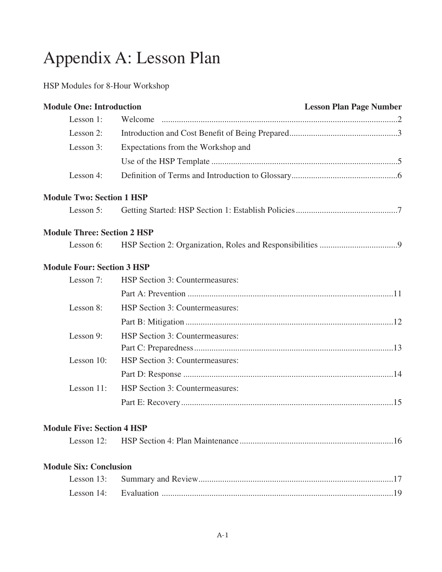# Appendix A: Lesson Plan

#### HSP Modules for 8-Hour Workshop

| <b>Module One: Introduction</b>    |                                    | <b>Lesson Plan Page Number</b> |
|------------------------------------|------------------------------------|--------------------------------|
| Lesson 1:                          |                                    |                                |
| Lesson 2:                          |                                    |                                |
| Lesson 3:                          | Expectations from the Workshop and |                                |
|                                    |                                    |                                |
| Lesson 4:                          |                                    |                                |
| <b>Module Two: Section 1 HSP</b>   |                                    |                                |
| Lesson 5:                          |                                    |                                |
| <b>Module Three: Section 2 HSP</b> |                                    |                                |
| Lesson 6:                          |                                    |                                |
| <b>Module Four: Section 3 HSP</b>  |                                    |                                |
| Lesson 7:                          | HSP Section 3: Countermeasures:    |                                |
|                                    |                                    |                                |
| Lesson 8:                          | HSP Section 3: Countermeasures:    |                                |
|                                    |                                    |                                |
| Lesson 9:                          | HSP Section 3: Countermeasures:    |                                |
|                                    |                                    |                                |
| Lesson 10:                         | HSP Section 3: Countermeasures:    |                                |
|                                    |                                    |                                |
| Lesson 11:                         | HSP Section 3: Countermeasures:    |                                |
|                                    |                                    |                                |
| <b>Module Five: Section 4 HSP</b>  |                                    |                                |
| Lesson $12$ :                      |                                    |                                |
| <b>Module Six: Conclusion</b>      |                                    |                                |
| Lesson 13:                         |                                    |                                |
| Lesson 14:                         |                                    |                                |
|                                    |                                    |                                |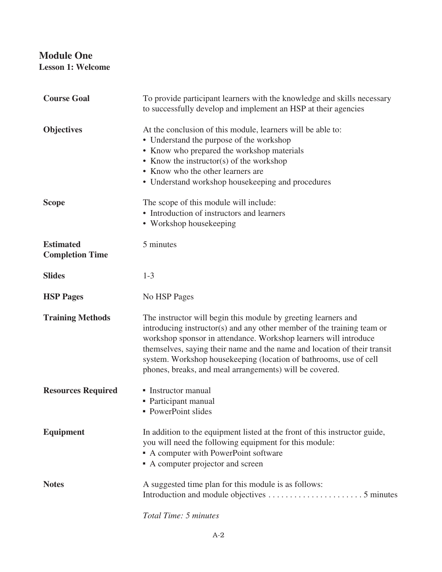#### **Module One Lesson 1: Welcome**

| <b>Course Goal</b>                         | To provide participant learners with the knowledge and skills necessary<br>to successfully develop and implement an HSP at their agencies                                                                                                                                                                                                                                                                                |
|--------------------------------------------|--------------------------------------------------------------------------------------------------------------------------------------------------------------------------------------------------------------------------------------------------------------------------------------------------------------------------------------------------------------------------------------------------------------------------|
| <b>Objectives</b>                          | At the conclusion of this module, learners will be able to:<br>• Understand the purpose of the workshop<br>• Know who prepared the workshop materials<br>• Know the instructor(s) of the workshop<br>• Know who the other learners are<br>• Understand workshop housekeeping and procedures                                                                                                                              |
| <b>Scope</b>                               | The scope of this module will include:<br>• Introduction of instructors and learners<br>• Workshop housekeeping                                                                                                                                                                                                                                                                                                          |
| <b>Estimated</b><br><b>Completion Time</b> | 5 minutes                                                                                                                                                                                                                                                                                                                                                                                                                |
| <b>Slides</b>                              | $1 - 3$                                                                                                                                                                                                                                                                                                                                                                                                                  |
| <b>HSP Pages</b>                           | No HSP Pages                                                                                                                                                                                                                                                                                                                                                                                                             |
| <b>Training Methods</b>                    | The instructor will begin this module by greeting learners and<br>introducing instructor(s) and any other member of the training team or<br>workshop sponsor in attendance. Workshop learners will introduce<br>themselves, saying their name and the name and location of their transit<br>system. Workshop housekeeping (location of bathrooms, use of cell<br>phones, breaks, and meal arrangements) will be covered. |
| <b>Resources Required</b>                  | • Instructor manual<br>• Participant manual<br>• PowerPoint slides                                                                                                                                                                                                                                                                                                                                                       |
| <b>Equipment</b>                           | In addition to the equipment listed at the front of this instructor guide,<br>you will need the following equipment for this module:<br>• A computer with PowerPoint software<br>• A computer projector and screen                                                                                                                                                                                                       |
| <b>Notes</b>                               | A suggested time plan for this module is as follows:                                                                                                                                                                                                                                                                                                                                                                     |

*Total Time: 5 minutes*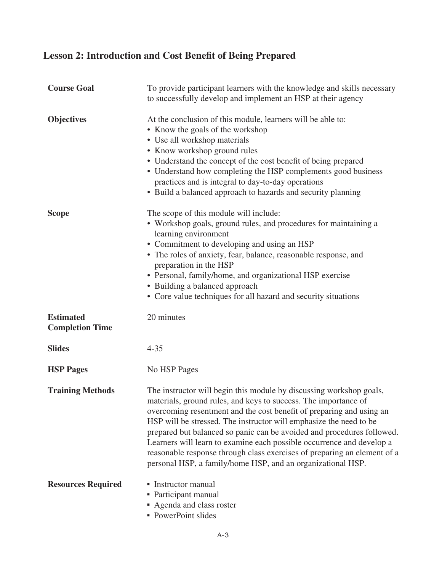# **Lesson 2: Introduction and Cost Benefit of Being Prepared**

| <b>Course Goal</b>                         | To provide participant learners with the knowledge and skills necessary<br>to successfully develop and implement an HSP at their agency                                                                                                                                                                                                                                                                                                                                                                                                                                            |
|--------------------------------------------|------------------------------------------------------------------------------------------------------------------------------------------------------------------------------------------------------------------------------------------------------------------------------------------------------------------------------------------------------------------------------------------------------------------------------------------------------------------------------------------------------------------------------------------------------------------------------------|
| <b>Objectives</b>                          | At the conclusion of this module, learners will be able to:<br>• Know the goals of the workshop<br>• Use all workshop materials<br>• Know workshop ground rules<br>• Understand the concept of the cost benefit of being prepared<br>• Understand how completing the HSP complements good business<br>practices and is integral to day-to-day operations<br>• Build a balanced approach to hazards and security planning                                                                                                                                                           |
| <b>Scope</b>                               | The scope of this module will include:<br>• Workshop goals, ground rules, and procedures for maintaining a<br>learning environment<br>• Commitment to developing and using an HSP<br>• The roles of anxiety, fear, balance, reasonable response, and<br>preparation in the HSP<br>• Personal, family/home, and organizational HSP exercise<br>• Building a balanced approach<br>• Core value techniques for all hazard and security situations                                                                                                                                     |
| <b>Estimated</b><br><b>Completion Time</b> | 20 minutes                                                                                                                                                                                                                                                                                                                                                                                                                                                                                                                                                                         |
| <b>Slides</b>                              | $4 - 35$                                                                                                                                                                                                                                                                                                                                                                                                                                                                                                                                                                           |
| <b>HSP Pages</b>                           | No HSP Pages                                                                                                                                                                                                                                                                                                                                                                                                                                                                                                                                                                       |
| <b>Training Methods</b>                    | The instructor will begin this module by discussing workshop goals,<br>materials, ground rules, and keys to success. The importance of<br>overcoming resentment and the cost benefit of preparing and using an<br>HSP will be stressed. The instructor will emphasize the need to be<br>prepared but balanced so panic can be avoided and procedures followed.<br>Learners will learn to examine each possible occurrence and develop a<br>reasonable response through class exercises of preparing an element of a<br>personal HSP, a family/home HSP, and an organizational HSP. |
| <b>Resources Required</b>                  | • Instructor manual<br>• Participant manual<br>Agenda and class roster<br>• PowerPoint slides                                                                                                                                                                                                                                                                                                                                                                                                                                                                                      |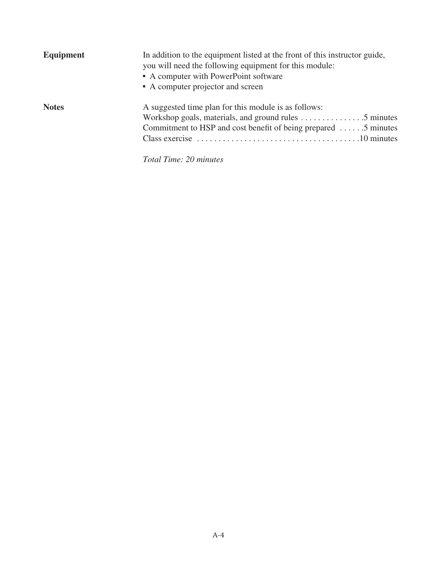| Equipment    | In addition to the equipment listed at the front of this instructor guide,<br>you will need the following equipment for this module:<br>• A computer with PowerPoint software<br>• A computer projector and screen |
|--------------|--------------------------------------------------------------------------------------------------------------------------------------------------------------------------------------------------------------------|
| <b>Notes</b> | A suggested time plan for this module is as follows:<br>Commitment to HSP and cost benefit of being prepared $\dots$ . 5 minutes<br>Total Time: 20 minutes                                                         |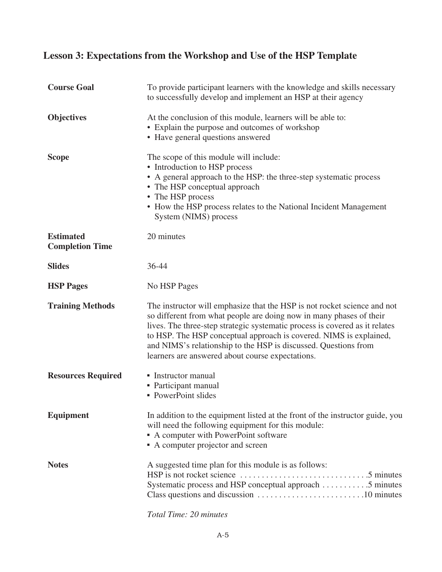### **Lesson 3: Expectations from the Workshop and Use of the HSP Template**

| <b>Course Goal</b>                         | To provide participant learners with the knowledge and skills necessary<br>to successfully develop and implement an HSP at their agency                                                                                                                                                                                                                                                                                     |
|--------------------------------------------|-----------------------------------------------------------------------------------------------------------------------------------------------------------------------------------------------------------------------------------------------------------------------------------------------------------------------------------------------------------------------------------------------------------------------------|
| <b>Objectives</b>                          | At the conclusion of this module, learners will be able to:<br>• Explain the purpose and outcomes of workshop<br>• Have general questions answered                                                                                                                                                                                                                                                                          |
| <b>Scope</b>                               | The scope of this module will include:<br>• Introduction to HSP process<br>• A general approach to the HSP: the three-step systematic process<br>• The HSP conceptual approach<br>• The HSP process<br>• How the HSP process relates to the National Incident Management<br>System (NIMS) process                                                                                                                           |
| <b>Estimated</b><br><b>Completion Time</b> | 20 minutes                                                                                                                                                                                                                                                                                                                                                                                                                  |
| <b>Slides</b>                              | 36-44                                                                                                                                                                                                                                                                                                                                                                                                                       |
| <b>HSP Pages</b>                           | No HSP Pages                                                                                                                                                                                                                                                                                                                                                                                                                |
| <b>Training Methods</b>                    | The instructor will emphasize that the HSP is not rocket science and not<br>so different from what people are doing now in many phases of their<br>lives. The three-step strategic systematic process is covered as it relates<br>to HSP. The HSP conceptual approach is covered. NIMS is explained,<br>and NIMS's relationship to the HSP is discussed. Questions from<br>learners are answered about course expectations. |
| <b>Resources Required</b>                  | • Instructor manual<br>• Participant manual<br>• PowerPoint slides                                                                                                                                                                                                                                                                                                                                                          |
| <b>Equipment</b>                           | In addition to the equipment listed at the front of the instructor guide, you<br>will need the following equipment for this module:<br>• A computer with PowerPoint software<br>• A computer projector and screen                                                                                                                                                                                                           |
| <b>Notes</b>                               | A suggested time plan for this module is as follows:<br>Systematic process and HSP conceptual approach 5 minutes                                                                                                                                                                                                                                                                                                            |

*Total Time: 20 minutes*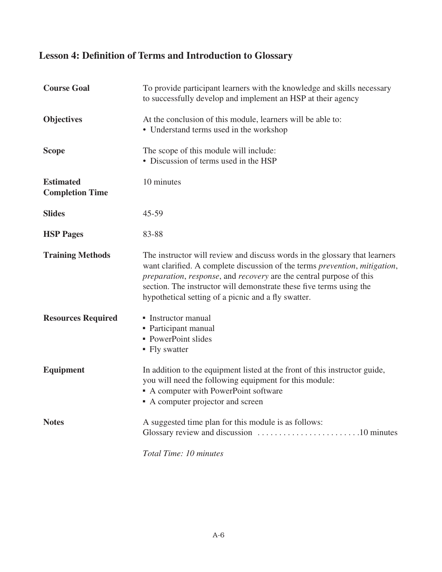# **Lesson 4: Definition of Terms and Introduction to Glossary**

| <b>Course Goal</b>                         | To provide participant learners with the knowledge and skills necessary<br>to successfully develop and implement an HSP at their agency                                                                                                                                                                                                                       |
|--------------------------------------------|---------------------------------------------------------------------------------------------------------------------------------------------------------------------------------------------------------------------------------------------------------------------------------------------------------------------------------------------------------------|
| <b>Objectives</b>                          | At the conclusion of this module, learners will be able to:<br>• Understand terms used in the workshop                                                                                                                                                                                                                                                        |
| <b>Scope</b>                               | The scope of this module will include:<br>• Discussion of terms used in the HSP                                                                                                                                                                                                                                                                               |
| <b>Estimated</b><br><b>Completion Time</b> | 10 minutes                                                                                                                                                                                                                                                                                                                                                    |
| <b>Slides</b>                              | $45 - 59$                                                                                                                                                                                                                                                                                                                                                     |
| <b>HSP Pages</b>                           | 83-88                                                                                                                                                                                                                                                                                                                                                         |
| <b>Training Methods</b>                    | The instructor will review and discuss words in the glossary that learners<br>want clarified. A complete discussion of the terms prevention, mitigation,<br>preparation, response, and recovery are the central purpose of this<br>section. The instructor will demonstrate these five terms using the<br>hypothetical setting of a picnic and a fly swatter. |
| <b>Resources Required</b>                  | • Instructor manual<br>• Participant manual<br>• PowerPoint slides<br>• Fly swatter                                                                                                                                                                                                                                                                           |
| <b>Equipment</b>                           | In addition to the equipment listed at the front of this instructor guide,<br>you will need the following equipment for this module:<br>• A computer with PowerPoint software<br>• A computer projector and screen                                                                                                                                            |
| <b>Notes</b>                               | A suggested time plan for this module is as follows:                                                                                                                                                                                                                                                                                                          |
|                                            | Total Time: 10 minutes                                                                                                                                                                                                                                                                                                                                        |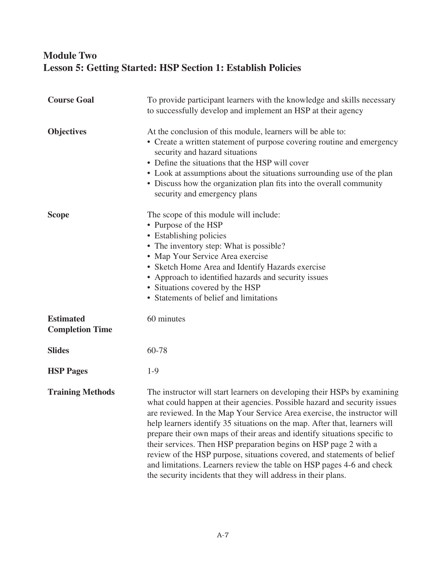#### **Module Two Lesson 5: Getting Started: HSP Section 1: Establish Policies**

| <b>Course Goal</b>                         | To provide participant learners with the knowledge and skills necessary<br>to successfully develop and implement an HSP at their agency                                                                                                                                                                                                                                                                                                                                                                                                                                                                                                                                              |
|--------------------------------------------|--------------------------------------------------------------------------------------------------------------------------------------------------------------------------------------------------------------------------------------------------------------------------------------------------------------------------------------------------------------------------------------------------------------------------------------------------------------------------------------------------------------------------------------------------------------------------------------------------------------------------------------------------------------------------------------|
| <b>Objectives</b>                          | At the conclusion of this module, learners will be able to:<br>• Create a written statement of purpose covering routine and emergency<br>security and hazard situations<br>• Define the situations that the HSP will cover<br>• Look at assumptions about the situations surrounding use of the plan<br>• Discuss how the organization plan fits into the overall community<br>security and emergency plans                                                                                                                                                                                                                                                                          |
| <b>Scope</b>                               | The scope of this module will include:<br>• Purpose of the HSP<br>• Establishing policies<br>• The inventory step: What is possible?<br>• Map Your Service Area exercise<br>• Sketch Home Area and Identify Hazards exercise<br>• Approach to identified hazards and security issues<br>• Situations covered by the HSP<br>• Statements of belief and limitations                                                                                                                                                                                                                                                                                                                    |
| <b>Estimated</b><br><b>Completion Time</b> | 60 minutes                                                                                                                                                                                                                                                                                                                                                                                                                                                                                                                                                                                                                                                                           |
| <b>Slides</b>                              | 60-78                                                                                                                                                                                                                                                                                                                                                                                                                                                                                                                                                                                                                                                                                |
| <b>HSP Pages</b>                           | $1-9$                                                                                                                                                                                                                                                                                                                                                                                                                                                                                                                                                                                                                                                                                |
| <b>Training Methods</b>                    | The instructor will start learners on developing their HSPs by examining<br>what could happen at their agencies. Possible hazard and security issues<br>are reviewed. In the Map Your Service Area exercise, the instructor will<br>help learners identify 35 situations on the map. After that, learners will<br>prepare their own maps of their areas and identify situations specific to<br>their services. Then HSP preparation begins on HSP page 2 with a<br>review of the HSP purpose, situations covered, and statements of belief<br>and limitations. Learners review the table on HSP pages 4-6 and check<br>the security incidents that they will address in their plans. |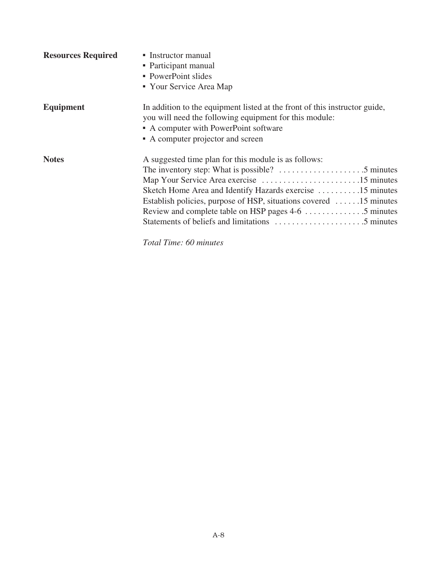| <b>Resources Required</b> | • Instructor manual<br>• Participant manual<br>• PowerPoint slides<br>• Your Service Area Map                                                                                                                                                                                                   |
|---------------------------|-------------------------------------------------------------------------------------------------------------------------------------------------------------------------------------------------------------------------------------------------------------------------------------------------|
| <b>Equipment</b>          | In addition to the equipment listed at the front of this instructor guide,<br>you will need the following equipment for this module:<br>• A computer with PowerPoint software<br>• A computer projector and screen                                                                              |
| <b>Notes</b>              | A suggested time plan for this module is as follows:<br>The inventory step: What is possible? $\dots \dots \dots \dots \dots \dots$<br>Sketch Home Area and Identify Hazards exercise 15 minutes<br>Establish policies, purpose of HSP, situations covered 15 minutes<br>Total Time: 60 minutes |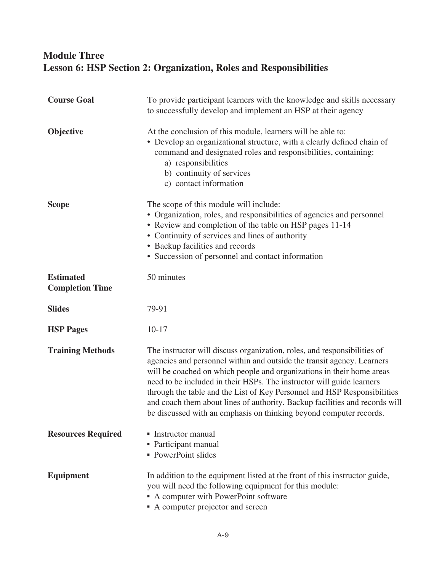#### **Module Three Lesson 6: HSP Section 2: Organization, Roles and Responsibilities**

| <b>Course Goal</b>                         | To provide participant learners with the knowledge and skills necessary<br>to successfully develop and implement an HSP at their agency                                                                                                                                                                                                                                                                                                                                                                                               |
|--------------------------------------------|---------------------------------------------------------------------------------------------------------------------------------------------------------------------------------------------------------------------------------------------------------------------------------------------------------------------------------------------------------------------------------------------------------------------------------------------------------------------------------------------------------------------------------------|
| Objective                                  | At the conclusion of this module, learners will be able to:<br>• Develop an organizational structure, with a clearly defined chain of<br>command and designated roles and responsibilities, containing:<br>a) responsibilities<br>b) continuity of services<br>c) contact information                                                                                                                                                                                                                                                 |
| <b>Scope</b>                               | The scope of this module will include:<br>• Organization, roles, and responsibilities of agencies and personnel<br>• Review and completion of the table on HSP pages 11-14<br>• Continuity of services and lines of authority<br>• Backup facilities and records<br>• Succession of personnel and contact information                                                                                                                                                                                                                 |
| <b>Estimated</b><br><b>Completion Time</b> | 50 minutes                                                                                                                                                                                                                                                                                                                                                                                                                                                                                                                            |
| <b>Slides</b>                              | 79-91                                                                                                                                                                                                                                                                                                                                                                                                                                                                                                                                 |
| <b>HSP Pages</b>                           | $10 - 17$                                                                                                                                                                                                                                                                                                                                                                                                                                                                                                                             |
| <b>Training Methods</b>                    | The instructor will discuss organization, roles, and responsibilities of<br>agencies and personnel within and outside the transit agency. Learners<br>will be coached on which people and organizations in their home areas<br>need to be included in their HSPs. The instructor will guide learners<br>through the table and the List of Key Personnel and HSP Responsibilities<br>and coach them about lines of authority. Backup facilities and records will<br>be discussed with an emphasis on thinking beyond computer records. |
| <b>Resources Required</b>                  | • Instructor manual<br>• Participant manual<br>• PowerPoint slides                                                                                                                                                                                                                                                                                                                                                                                                                                                                    |
| <b>Equipment</b>                           | In addition to the equipment listed at the front of this instructor guide,<br>you will need the following equipment for this module:<br>• A computer with PowerPoint software<br>A computer projector and screen                                                                                                                                                                                                                                                                                                                      |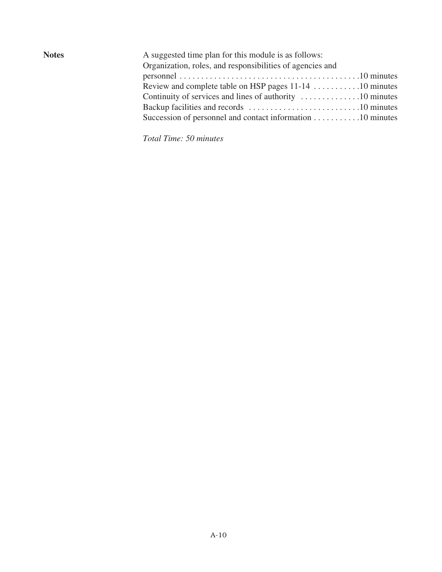| A suggested time plan for this module is as follows:<br>Organization, roles, and responsibilities of agencies and |  |
|-------------------------------------------------------------------------------------------------------------------|--|
|                                                                                                                   |  |
| Review and complete table on HSP pages 11-14 10 minutes                                                           |  |
| Continuity of services and lines of authority 10 minutes                                                          |  |
|                                                                                                                   |  |
| Succession of personnel and contact information $\dots \dots \dots \dots 10$ minutes                              |  |
|                                                                                                                   |  |

*Total Time: 50 minutes*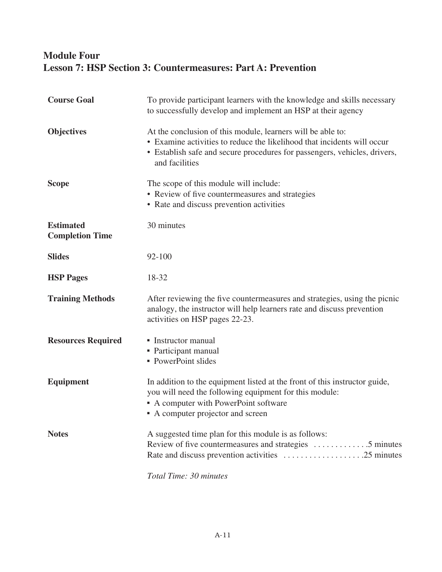#### **Module Four Lesson 7: HSP Section 3: Countermeasures: Part A: Prevention**

| <b>Course Goal</b>                         | To provide participant learners with the knowledge and skills necessary<br>to successfully develop and implement an HSP at their agency                                                                                               |
|--------------------------------------------|---------------------------------------------------------------------------------------------------------------------------------------------------------------------------------------------------------------------------------------|
| <b>Objectives</b>                          | At the conclusion of this module, learners will be able to:<br>• Examine activities to reduce the likelihood that incidents will occur<br>• Establish safe and secure procedures for passengers, vehicles, drivers,<br>and facilities |
| <b>Scope</b>                               | The scope of this module will include:<br>• Review of five countermeasures and strategies<br>• Rate and discuss prevention activities                                                                                                 |
| <b>Estimated</b><br><b>Completion Time</b> | 30 minutes                                                                                                                                                                                                                            |
| <b>Slides</b>                              | 92-100                                                                                                                                                                                                                                |
| <b>HSP Pages</b>                           | 18-32                                                                                                                                                                                                                                 |
| <b>Training Methods</b>                    | After reviewing the five countermeasures and strategies, using the picnic<br>analogy, the instructor will help learners rate and discuss prevention<br>activities on HSP pages 22-23.                                                 |
| <b>Resources Required</b>                  | • Instructor manual<br>• Participant manual<br>• PowerPoint slides                                                                                                                                                                    |
| <b>Equipment</b>                           | In addition to the equipment listed at the front of this instructor guide,<br>you will need the following equipment for this module:<br>• A computer with PowerPoint software<br>• A computer projector and screen                    |
| <b>Notes</b>                               | A suggested time plan for this module is as follows:<br>Review of five countermeasures and strategies 5 minutes<br>Rate and discuss prevention activities 25 minutes                                                                  |
|                                            | Total Time: 30 minutes                                                                                                                                                                                                                |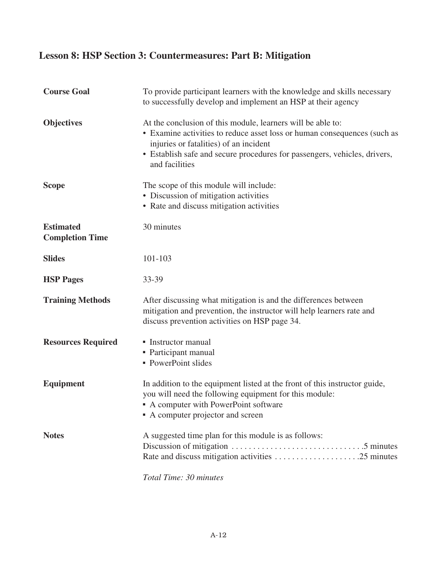# **Lesson 8: HSP Section 3: Countermeasures: Part B: Mitigation**

| <b>Course Goal</b>                         | To provide participant learners with the knowledge and skills necessary<br>to successfully develop and implement an HSP at their agency                                                                                                                                          |
|--------------------------------------------|----------------------------------------------------------------------------------------------------------------------------------------------------------------------------------------------------------------------------------------------------------------------------------|
| <b>Objectives</b>                          | At the conclusion of this module, learners will be able to:<br>• Examine activities to reduce asset loss or human consequences (such as<br>injuries or fatalities) of an incident<br>• Establish safe and secure procedures for passengers, vehicles, drivers,<br>and facilities |
| <b>Scope</b>                               | The scope of this module will include:<br>• Discussion of mitigation activities<br>• Rate and discuss mitigation activities                                                                                                                                                      |
| <b>Estimated</b><br><b>Completion Time</b> | 30 minutes                                                                                                                                                                                                                                                                       |
| <b>Slides</b>                              | 101-103                                                                                                                                                                                                                                                                          |
| <b>HSP Pages</b>                           | $33 - 39$                                                                                                                                                                                                                                                                        |
| <b>Training Methods</b>                    | After discussing what mitigation is and the differences between<br>mitigation and prevention, the instructor will help learners rate and<br>discuss prevention activities on HSP page 34.                                                                                        |
| <b>Resources Required</b>                  | • Instructor manual<br>• Participant manual<br>• PowerPoint slides                                                                                                                                                                                                               |
| <b>Equipment</b>                           | In addition to the equipment listed at the front of this instructor guide,<br>you will need the following equipment for this module:<br>• A computer with PowerPoint software<br>• A computer projector and screen                                                               |
| <b>Notes</b>                               | A suggested time plan for this module is as follows:<br>Rate and discuss mitigation activities 25 minutes                                                                                                                                                                        |

*Total Time: 30 minutes*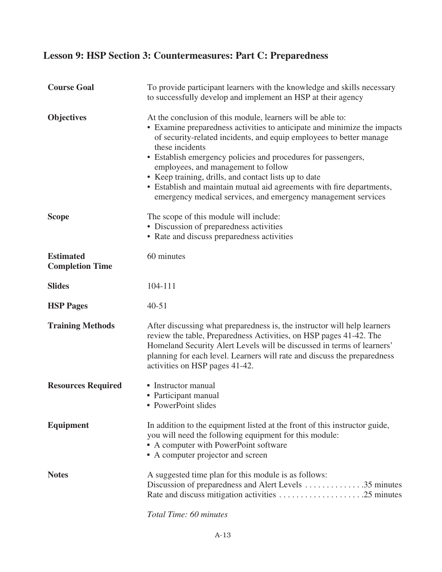### **Lesson 9: HSP Section 3: Countermeasures: Part C: Preparedness**

| <b>Course Goal</b>                         | To provide participant learners with the knowledge and skills necessary<br>to successfully develop and implement an HSP at their agency                                                                                                                                                                                                                                                                                                                                                                                                      |
|--------------------------------------------|----------------------------------------------------------------------------------------------------------------------------------------------------------------------------------------------------------------------------------------------------------------------------------------------------------------------------------------------------------------------------------------------------------------------------------------------------------------------------------------------------------------------------------------------|
| <b>Objectives</b>                          | At the conclusion of this module, learners will be able to:<br>• Examine preparedness activities to anticipate and minimize the impacts<br>of security-related incidents, and equip employees to better manage<br>these incidents<br>• Establish emergency policies and procedures for passengers,<br>employees, and management to follow<br>• Keep training, drills, and contact lists up to date<br>• Establish and maintain mutual aid agreements with fire departments,<br>emergency medical services, and emergency management services |
| <b>Scope</b>                               | The scope of this module will include:<br>• Discussion of preparedness activities<br>• Rate and discuss preparedness activities                                                                                                                                                                                                                                                                                                                                                                                                              |
| <b>Estimated</b><br><b>Completion Time</b> | 60 minutes                                                                                                                                                                                                                                                                                                                                                                                                                                                                                                                                   |
| <b>Slides</b>                              | 104-111                                                                                                                                                                                                                                                                                                                                                                                                                                                                                                                                      |
| <b>HSP Pages</b>                           | $40 - 51$                                                                                                                                                                                                                                                                                                                                                                                                                                                                                                                                    |
| <b>Training Methods</b>                    | After discussing what preparedness is, the instructor will help learners<br>review the table, Preparedness Activities, on HSP pages 41-42. The<br>Homeland Security Alert Levels will be discussed in terms of learners'<br>planning for each level. Learners will rate and discuss the preparedness<br>activities on HSP pages 41-42.                                                                                                                                                                                                       |
| <b>Resources Required</b>                  | • Instructor manual<br>• Participant manual<br>• PowerPoint slides                                                                                                                                                                                                                                                                                                                                                                                                                                                                           |
| <b>Equipment</b>                           | In addition to the equipment listed at the front of this instructor guide,<br>you will need the following equipment for this module:<br>A computer with PowerPoint software<br>• A computer projector and screen                                                                                                                                                                                                                                                                                                                             |
| <b>Notes</b>                               | A suggested time plan for this module is as follows:<br>Discussion of preparedness and Alert Levels 35 minutes                                                                                                                                                                                                                                                                                                                                                                                                                               |
|                                            |                                                                                                                                                                                                                                                                                                                                                                                                                                                                                                                                              |

*Total Time: 60 minutes*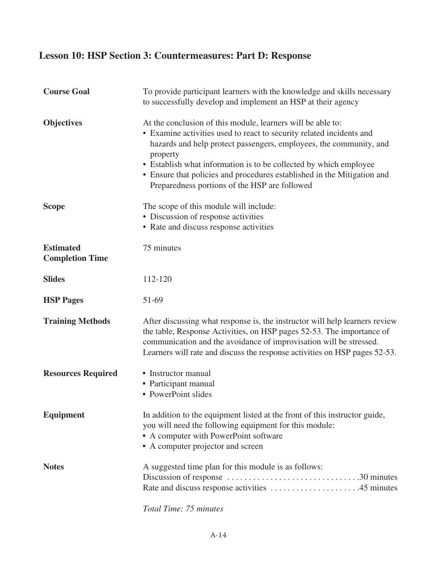### **Lesson 10: HSP Section 3: Countermeasures: Part D: Response**

| <b>Course Goal</b>                         | To provide participant learners with the knowledge and skills necessary<br>to successfully develop and implement an HSP at their agency                                                                                                                                                                                                                                                                                |
|--------------------------------------------|------------------------------------------------------------------------------------------------------------------------------------------------------------------------------------------------------------------------------------------------------------------------------------------------------------------------------------------------------------------------------------------------------------------------|
| <b>Objectives</b>                          | At the conclusion of this module, learners will be able to:<br>• Examine activities used to react to security related incidents and<br>hazards and help protect passengers, employees, the community, and<br>property<br>• Establish what information is to be collected by which employee<br>• Ensure that policies and procedures established in the Mitigation and<br>Preparedness portions of the HSP are followed |
| <b>Scope</b>                               | The scope of this module will include:<br>• Discussion of response activities<br>• Rate and discuss response activities                                                                                                                                                                                                                                                                                                |
| <b>Estimated</b><br><b>Completion Time</b> | 75 minutes                                                                                                                                                                                                                                                                                                                                                                                                             |
| <b>Slides</b>                              | 112-120                                                                                                                                                                                                                                                                                                                                                                                                                |
| <b>HSP Pages</b>                           | 51-69                                                                                                                                                                                                                                                                                                                                                                                                                  |
| <b>Training Methods</b>                    | After discussing what response is, the instructor will help learners review<br>the table, Response Activities, on HSP pages 52-53. The importance of<br>communication and the avoidance of improvisation will be stressed.<br>Learners will rate and discuss the response activities on HSP pages 52-53.                                                                                                               |
| <b>Resources Required</b>                  | • Instructor manual<br>• Participant manual<br>• PowerPoint slides                                                                                                                                                                                                                                                                                                                                                     |
| <b>Equipment</b>                           | In addition to the equipment listed at the front of this instructor guide,<br>you will need the following equipment for this module:<br>• A computer with PowerPoint software<br>• A computer projector and screen                                                                                                                                                                                                     |
| <b>Notes</b>                               | A suggested time plan for this module is as follows:                                                                                                                                                                                                                                                                                                                                                                   |

*Total Time: 75 minutes*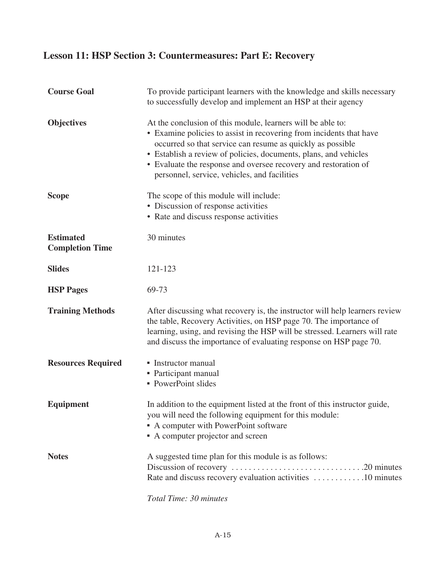### **Lesson 11: HSP Section 3: Countermeasures: Part E: Recovery**

| <b>Course Goal</b>                         | To provide participant learners with the knowledge and skills necessary<br>to successfully develop and implement an HSP at their agency                                                                                                                                                                                                                                                 |
|--------------------------------------------|-----------------------------------------------------------------------------------------------------------------------------------------------------------------------------------------------------------------------------------------------------------------------------------------------------------------------------------------------------------------------------------------|
| <b>Objectives</b>                          | At the conclusion of this module, learners will be able to:<br>• Examine policies to assist in recovering from incidents that have<br>occurred so that service can resume as quickly as possible<br>• Establish a review of policies, documents, plans, and vehicles<br>• Evaluate the response and oversee recovery and restoration of<br>personnel, service, vehicles, and facilities |
| <b>Scope</b>                               | The scope of this module will include:<br>• Discussion of response activities<br>• Rate and discuss response activities                                                                                                                                                                                                                                                                 |
| <b>Estimated</b><br><b>Completion Time</b> | 30 minutes                                                                                                                                                                                                                                                                                                                                                                              |
| <b>Slides</b>                              | 121-123                                                                                                                                                                                                                                                                                                                                                                                 |
| <b>HSP Pages</b>                           | 69-73                                                                                                                                                                                                                                                                                                                                                                                   |
| <b>Training Methods</b>                    | After discussing what recovery is, the instructor will help learners review<br>the table, Recovery Activities, on HSP page 70. The importance of<br>learning, using, and revising the HSP will be stressed. Learners will rate<br>and discuss the importance of evaluating response on HSP page 70.                                                                                     |
| <b>Resources Required</b>                  | • Instructor manual<br>• Participant manual<br>• PowerPoint slides                                                                                                                                                                                                                                                                                                                      |
| <b>Equipment</b>                           | In addition to the equipment listed at the front of this instructor guide,<br>you will need the following equipment for this module:<br>• A computer with PowerPoint software<br>• A computer projector and screen                                                                                                                                                                      |
| <b>Notes</b>                               | A suggested time plan for this module is as follows:<br>Rate and discuss recovery evaluation activities 10 minutes                                                                                                                                                                                                                                                                      |
|                                            |                                                                                                                                                                                                                                                                                                                                                                                         |

*Total Time: 30 minutes*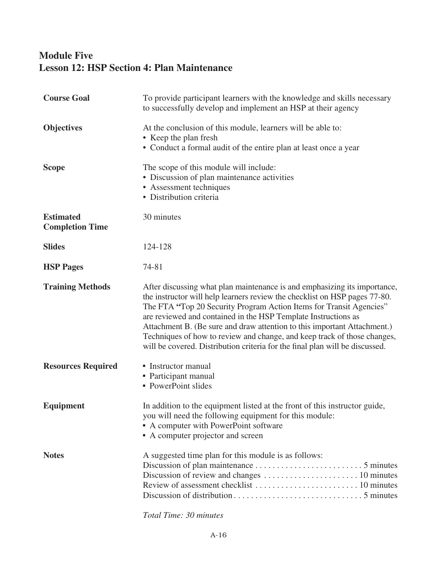#### **Module Five Lesson 12: HSP Section 4: Plan Maintenance**

| <b>Course Goal</b>                         | To provide participant learners with the knowledge and skills necessary<br>to successfully develop and implement an HSP at their agency                                                                                                                                                                                                                                                                                                                                                                                                  |
|--------------------------------------------|------------------------------------------------------------------------------------------------------------------------------------------------------------------------------------------------------------------------------------------------------------------------------------------------------------------------------------------------------------------------------------------------------------------------------------------------------------------------------------------------------------------------------------------|
| <b>Objectives</b>                          | At the conclusion of this module, learners will be able to:<br>• Keep the plan fresh<br>• Conduct a formal audit of the entire plan at least once a year                                                                                                                                                                                                                                                                                                                                                                                 |
| <b>Scope</b>                               | The scope of this module will include:<br>• Discussion of plan maintenance activities<br>• Assessment techniques<br>• Distribution criteria                                                                                                                                                                                                                                                                                                                                                                                              |
| <b>Estimated</b><br><b>Completion Time</b> | 30 minutes                                                                                                                                                                                                                                                                                                                                                                                                                                                                                                                               |
| <b>Slides</b>                              | 124-128                                                                                                                                                                                                                                                                                                                                                                                                                                                                                                                                  |
| <b>HSP Pages</b>                           | 74-81                                                                                                                                                                                                                                                                                                                                                                                                                                                                                                                                    |
| <b>Training Methods</b>                    | After discussing what plan maintenance is and emphasizing its importance,<br>the instructor will help learners review the checklist on HSP pages 77-80.<br>The FTA "Top 20 Security Program Action Items for Transit Agencies"<br>are reviewed and contained in the HSP Template Instructions as<br>Attachment B. (Be sure and draw attention to this important Attachment.)<br>Techniques of how to review and change, and keep track of those changes,<br>will be covered. Distribution criteria for the final plan will be discussed. |
| <b>Resources Required</b>                  | • Instructor manual<br>• Participant manual<br>• PowerPoint slides                                                                                                                                                                                                                                                                                                                                                                                                                                                                       |
| <b>Equipment</b>                           | In addition to the equipment listed at the front of this instructor guide,<br>you will need the following equipment for this module:<br>• A computer with PowerPoint software<br>• A computer projector and screen                                                                                                                                                                                                                                                                                                                       |
| <b>Notes</b>                               | A suggested time plan for this module is as follows:                                                                                                                                                                                                                                                                                                                                                                                                                                                                                     |

*Total Time: 30 minutes*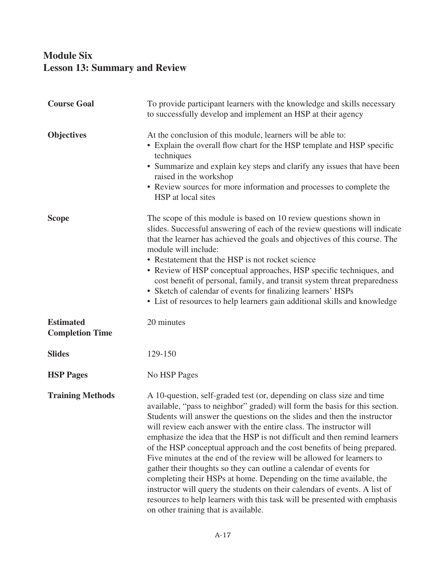#### **Module Six Lesson 13: Summary and Review**

| <b>Course Goal</b>                         | To provide participant learners with the knowledge and skills necessary<br>to successfully develop and implement an HSP at their agency                                                                                                                                                                                                                                                                                                                                                                                                                                                                                                                                                                                                                                                                                                                                                 |
|--------------------------------------------|-----------------------------------------------------------------------------------------------------------------------------------------------------------------------------------------------------------------------------------------------------------------------------------------------------------------------------------------------------------------------------------------------------------------------------------------------------------------------------------------------------------------------------------------------------------------------------------------------------------------------------------------------------------------------------------------------------------------------------------------------------------------------------------------------------------------------------------------------------------------------------------------|
| <b>Objectives</b>                          | At the conclusion of this module, learners will be able to:<br>• Explain the overall flow chart for the HSP template and HSP specific<br>techniques<br>• Summarize and explain key steps and clarify any issues that have been<br>raised in the workshop<br>• Review sources for more information and processes to complete the<br>HSP at local sites                                                                                                                                                                                                                                                                                                                                                                                                                                                                                                                                   |
| <b>Scope</b>                               | The scope of this module is based on 10 review questions shown in<br>slides. Successful answering of each of the review questions will indicate<br>that the learner has achieved the goals and objectives of this course. The<br>module will include:<br>• Restatement that the HSP is not rocket science<br>• Review of HSP conceptual approaches, HSP specific techniques, and<br>cost benefit of personal, family, and transit system threat preparedness<br>• Sketch of calendar of events for finalizing learners' HSPs<br>• List of resources to help learners gain additional skills and knowledge                                                                                                                                                                                                                                                                               |
| <b>Estimated</b><br><b>Completion Time</b> | 20 minutes                                                                                                                                                                                                                                                                                                                                                                                                                                                                                                                                                                                                                                                                                                                                                                                                                                                                              |
| <b>Slides</b>                              | 129-150                                                                                                                                                                                                                                                                                                                                                                                                                                                                                                                                                                                                                                                                                                                                                                                                                                                                                 |
| <b>HSP Pages</b>                           | No HSP Pages                                                                                                                                                                                                                                                                                                                                                                                                                                                                                                                                                                                                                                                                                                                                                                                                                                                                            |
| <b>Training Methods</b>                    | A 10-question, self-graded test (or, depending on class size and time<br>available, "pass to neighbor" graded) will form the basis for this section.<br>Students will answer the questions on the slides and then the instructor<br>will review each answer with the entire class. The instructor will<br>emphasize the idea that the HSP is not difficult and then remind learners<br>of the HSP conceptual approach and the cost benefits of being prepared.<br>Five minutes at the end of the review will be allowed for learners to<br>gather their thoughts so they can outline a calendar of events for<br>completing their HSPs at home. Depending on the time available, the<br>instructor will query the students on their calendars of events. A list of<br>resources to help learners with this task will be presented with emphasis<br>on other training that is available. |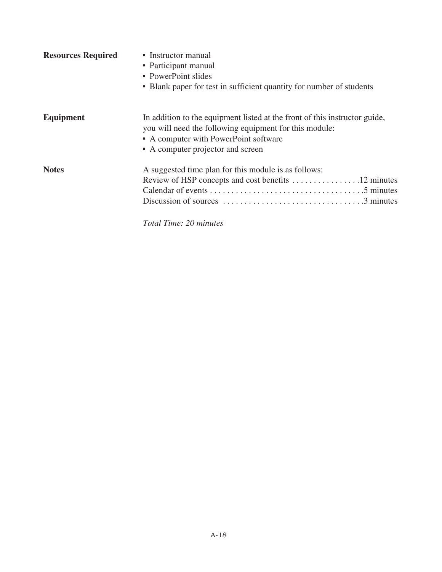| <b>Resources Required</b> | • Instructor manual<br>• Participant manual<br>• PowerPoint slides<br>• Blank paper for test in sufficient quantity for number of students                                                                         |
|---------------------------|--------------------------------------------------------------------------------------------------------------------------------------------------------------------------------------------------------------------|
| <b>Equipment</b>          | In addition to the equipment listed at the front of this instructor guide,<br>you will need the following equipment for this module:<br>• A computer with PowerPoint software<br>• A computer projector and screen |
| <b>Notes</b>              | A suggested time plan for this module is as follows:                                                                                                                                                               |

*Total Time: 20 minutes*